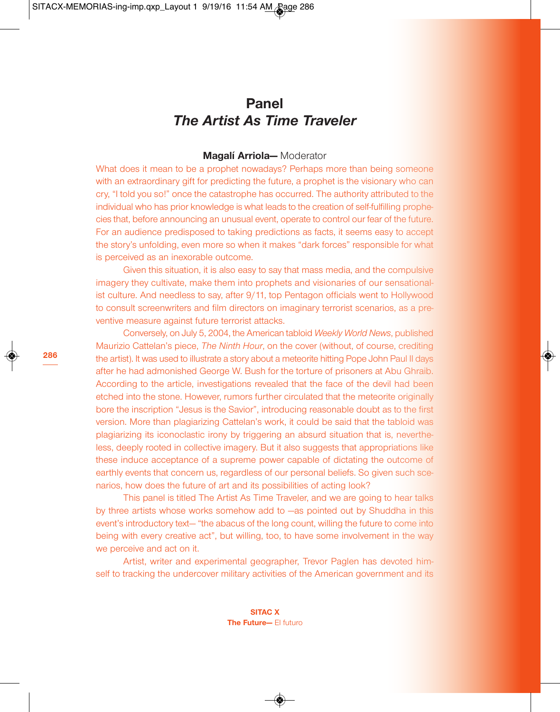SITACX-MEMORIAS-ing-imp.qxp\_Layout 1 9/19/16 11:54 AM Rage 286

# **Panel** *The Artist As Time Traveler*

#### **Magalí Arriola—** Moderator

What does it mean to be a prophet nowadays? Perhaps more than being someone with an extraordinary gift for predicting the future, a prophet is the visionary who can cry, "I told you so!" once the catastrophe has occurred. The authority attributed to the individual who has prior knowledge is what leads to the creation of self-fulfilling prophecies that, before announcing an unusual event, operate to control our fear of the future. For an audience predisposed to taking predictions as facts, it seems easy to accept the story's unfolding, even more so when it makes "dark forces" responsible for what is perceived as an inexorable outcome.

Given this situation, it is also easy to say that mass media, and the compulsive imagery they cultivate, make them into prophets and visionaries of our sensationalist culture. And needless to say, after 9/11, top Pentagon officials went to Hollywood to consult screenwriters and film directors on imaginary terrorist scenarios, as a preventive measure against future terrorist attacks.

Conversely, on July 5, 2004, the American tabloid *Weekly World News*, published Maurizio Cattelan's piece, *The Ninth Hour*, on the cover (without, of course, crediting the artist). It was used to illustrate a story about a meteorite hitting Pope John Paul II days after he had admonished George W. Bush for the torture of prisoners at Abu Ghraib. According to the article, investigations revealed that the face of the devil had been etched into the stone. However, rumors further circulated that the meteorite originally bore the inscription "Jesus is the Savior", introducing reasonable doubt as to the first version. More than plagiarizing Cattelan's work, it could be said that the tabloid was plagiarizing its iconoclastic irony by triggering an absurd situation that is, nevertheless, deeply rooted in collective imagery. But it also suggests that appropriations like these induce acceptance of a supreme power capable of dictating the outcome of earthly events that concern us, regardless of our personal beliefs. So given such scenarios, how does the future of art and its possibilities of acting look?

This panel is titled The Artist As Time Traveler, and we are going to hear talks by three artists whose works somehow add to —as pointed out by Shuddha in this event's introductory text— "the abacus of the long count, willing the future to come into being with every creative act", but willing, too, to have some involvement in the way we perceive and act on it.

Artist, writer and experimental geographer, Trevor Paglen has devoted himself to tracking the undercover military activities of the American government and its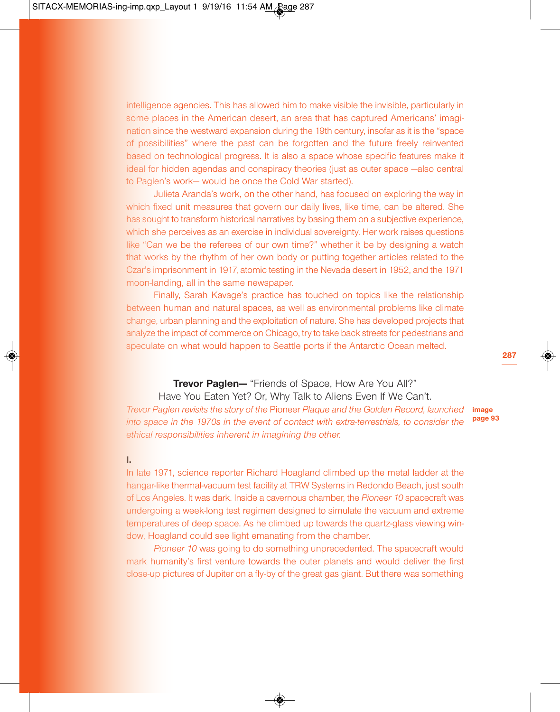intelligence agencies. This has allowed him to make visible the invisible, particularly in some places in the American desert, an area that has captured Americans' imagination since the westward expansion during the 19th century, insofar as it is the "space of possibilities" where the past can be forgotten and the future freely reinvented based on technological progress. It is also a space whose specific features make it ideal for hidden agendas and conspiracy theories (just as outer space —also central to Paglen's work— would be once the Cold War started).

Julieta Aranda's work, on the other hand, has focused on exploring the way in which fixed unit measures that govern our daily lives, like time, can be altered. She has sought to transform historical narratives by basing them on a subjective experience, which she perceives as an exercise in individual sovereignty. Her work raises questions like "Can we be the referees of our own time?" whether it be by designing a watch that works by the rhythm of her own body or putting together articles related to the Czar's imprisonment in 1917, atomic testing in the Nevada desert in 1952, and the 1971 moon-landing, all in the same newspaper.

Finally, Sarah Kavage's practice has touched on topics like the relationship between human and natural spaces, as well as environmental problems like climate change, urban planning and the exploitation of nature. She has developed projects that analyze the impact of commerce on Chicago, try to take back streets for pedestrians and speculate on what would happen to Seattle ports if the Antarctic Ocean melted.

# **Trevor Paglen—** "Friends of Space, How Are You All?" Have You Eaten Yet? Or, Why Talk to Aliens Even If We Can't.

*Trevor Paglen revisits the story of the* Pioneer *Plaque and the Golden Record, launched* **image** *into space in the 1970s in the event of contact with extra-terrestrials, to consider the ethical responsibilities inherent in imagining the other.*

#### **I.**

In late 1971, science reporter Richard Hoagland climbed up the metal ladder at the hangar-like thermal-vacuum test facility at TRW Systems in Redondo Beach, just south of Los Angeles. It was dark. Inside a cavernous chamber, the *Pioneer 10* spacecraft was undergoing a week-long test regimen designed to simulate the vacuum and extreme temperatures of deep space. As he climbed up towards the quartz-glass viewing window, Hoagland could see light emanating from the chamber.

*Pioneer 10* was going to do something unprecedented. The spacecraft would mark humanity's first venture towards the outer planets and would deliver the first close-up pictures of Jupiter on a fly-by of the great gas giant. But there was something

**287**

**page 93**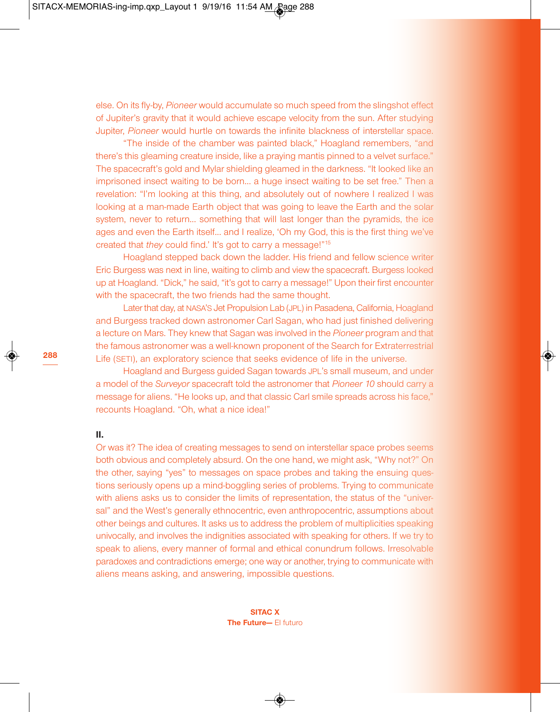else. On its fly-by, *Pioneer* would accumulate so much speed from the slingshot effect of Jupiter's gravity that it would achieve escape velocity from the sun. After studying Jupiter, *Pioneer* would hurtle on towards the infinite blackness of interstellar space.

"The inside of the chamber was painted black," Hoagland remembers, "and there's this gleaming creature inside, like a praying mantis pinned to a velvet surface." The spacecraft's gold and Mylar shielding gleamed in the darkness. "It looked like an imprisoned insect waiting to be born… a huge insect waiting to be set free." Then a revelation: "I'm looking at this thing, and absolutely out of nowhere I realized I was looking at a man-made Earth object that was going to leave the Earth and the solar system, never to return… something that will last longer than the pyramids, the ice ages and even the Earth itself… and I realize, 'Oh my God, this is the first thing we've created that *they* could find.' It's got to carry a message!"15

Hoagland stepped back down the ladder. His friend and fellow science writer Eric Burgess was next in line, waiting to climb and view the spacecraft. Burgess looked up at Hoagland. "Dick," he said, "it's got to carry a message!" Upon their first encounter with the spacecraft, the two friends had the same thought.

Later that day, at NASA'S Jet Propulsion Lab (JPL) in Pasadena, California, Hoagland and Burgess tracked down astronomer Carl Sagan, who had just finished delivering a lecture on Mars. They knew that Sagan was involved in the *Pioneer* program and that the famous astronomer was a well-known proponent of the Search for Extraterrestrial Life (SETI), an exploratory science that seeks evidence of life in the universe.

Hoagland and Burgess guided Sagan towards JPL's small museum, and under a model of the *Surveyor* spacecraft told the astronomer that *Pioneer 10* should carry a message for aliens. "He looks up, and that classic Carl smile spreads across his face," recounts Hoagland. "Oh, what a nice idea!"

#### **II.**

Or was it? The idea of creating messages to send on interstellar space probes seems both obvious and completely absurd. On the one hand, we might ask, "Why not?" On the other, saying "yes" to messages on space probes and taking the ensuing questions seriously opens up a mind-boggling series of problems. Trying to communicate with aliens asks us to consider the limits of representation, the status of the "universal" and the West's generally ethnocentric, even anthropocentric, assumptions about other beings and cultures. It asks us to address the problem of multiplicities speaking univocally, and involves the indignities associated with speaking for others. If we try to speak to aliens, every manner of formal and ethical conundrum follows. Irresolvable paradoxes and contradictions emerge; one way or another, trying to communicate with aliens means asking, and answering, impossible questions.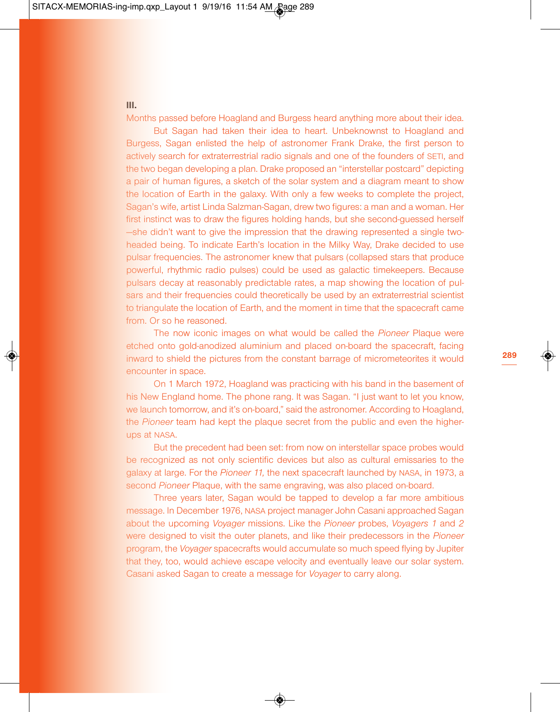**III.**

Months passed before Hoagland and Burgess heard anything more about their idea.

But Sagan had taken their idea to heart. Unbeknownst to Hoagland and Burgess, Sagan enlisted the help of astronomer Frank Drake, the first person to actively search for extraterrestrial radio signals and one of the founders of SETI, and the two began developing a plan. Drake proposed an "interstellar postcard" depicting a pair of human figures, a sketch of the solar system and a diagram meant to show the location of Earth in the galaxy. With only a few weeks to complete the project, Sagan's wife, artist Linda Salzman-Sagan, drew two figures: a man and a woman. Her first instinct was to draw the figures holding hands, but she second-guessed herself —she didn't want to give the impression that the drawing represented a single twoheaded being. To indicate Earth's location in the Milky Way, Drake decided to use pulsar frequencies. The astronomer knew that pulsars (collapsed stars that produce powerful, rhythmic radio pulses) could be used as galactic timekeepers. Because pulsars decay at reasonably predictable rates, a map showing the location of pulsars and their frequencies could theoretically be used by an extraterrestrial scientist to triangulate the location of Earth, and the moment in time that the spacecraft came from. Or so he reasoned.

The now iconic images on what would be called the *Pioneer* Plaque were etched onto gold-anodized aluminium and placed on-board the spacecraft, facing inward to shield the pictures from the constant barrage of micrometeorites it would encounter in space.

On 1 March 1972, Hoagland was practicing with his band in the basement of his New England home. The phone rang. It was Sagan. "I just want to let you know, we launch tomorrow, and it's on-board," said the astronomer. According to Hoagland, the *Pioneer* team had kept the plaque secret from the public and even the higherups at NASA.

But the precedent had been set: from now on interstellar space probes would be recognized as not only scientific devices but also as cultural emissaries to the galaxy at large. For the *Pioneer 11,* the next spacecraft launched by NASA, in 1973, a second *Pioneer* Plaque, with the same engraving, was also placed on-board.

Three years later, Sagan would be tapped to develop a far more ambitious message. In December 1976, NASA project manager John Casani approached Sagan about the upcoming *Voyager* missions. Like the *Pioneer* probes, *Voyagers 1* and *2* were designed to visit the outer planets, and like their predecessors in the *Pioneer* program, the *Voyager* spacecrafts would accumulate so much speed flying by Jupiter that they, too, would achieve escape velocity and eventually leave our solar system. Casani asked Sagan to create a message for *Voyager* to carry along.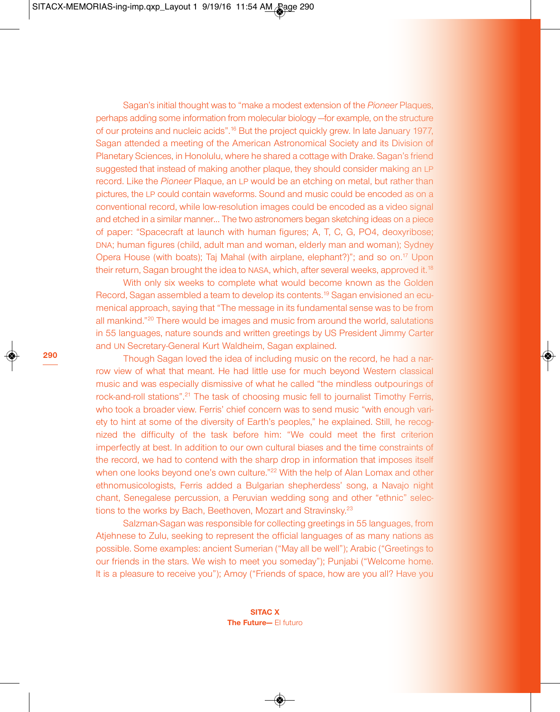Sagan's initial thought was to "make a modest extension of the *Pioneer* Plaques, perhaps adding some information from molecular biology —for example, on the structure of our proteins and nucleic acids".<sup>16</sup> But the project quickly grew. In late January 1977, Sagan attended a meeting of the American Astronomical Society and its Division of Planetary Sciences, in Honolulu, where he shared a cottage with Drake. Sagan's friend suggested that instead of making another plaque, they should consider making an LP record. Like the *Pioneer* Plaque, an LP would be an etching on metal, but rather than pictures, the LP could contain waveforms. Sound and music could be encoded as on a conventional record, while low-resolution images could be encoded as a video signal and etched in a similar manner… The two astronomers began sketching ideas on a piece of paper: "Spacecraft at launch with human figures; A, T, C, G, PO4, deoxyribose; DNA; human figures (child, adult man and woman, elderly man and woman); Sydney Opera House (with boats); Taj Mahal (with airplane, elephant?)"; and so on. <sup>17</sup> Upon their return, Sagan brought the idea to NASA, which, after several weeks, approved it.<sup>18</sup>

With only six weeks to complete what would become known as the Golden Record, Sagan assembled a team to develop its contents.<sup>19</sup> Sagan envisioned an ecumenical approach, saying that "The message in its fundamental sense was to be from all mankind."20 There would be images and music from around the world, salutations in 55 languages, nature sounds and written greetings by US President Jimmy Carter and UN Secretary-General Kurt Waldheim, Sagan explained.

Though Sagan loved the idea of including music on the record, he had a narrow view of what that meant. He had little use for much beyond Western classical music and was especially dismissive of what he called "the mindless outpourings of rock-and-roll stations".<sup>21</sup> The task of choosing music fell to journalist Timothy Ferris, who took a broader view. Ferris' chief concern was to send music "with enough variety to hint at some of the diversity of Earth's peoples," he explained. Still, he recognized the difficulty of the task before him: "We could meet the first criterion imperfectly at best. In addition to our own cultural biases and the time constraints of the record, we had to contend with the sharp drop in information that imposes itself when one looks beyond one's own culture."<sup>22</sup> With the help of Alan Lomax and other ethnomusicologists, Ferris added a Bulgarian shepherdess' song, a Navajo night chant, Senegalese percussion, a Peruvian wedding song and other "ethnic" selections to the works by Bach, Beethoven, Mozart and Stravinsky.<sup>23</sup>

Salzman-Sagan was responsible for collecting greetings in 55 languages, from Atjehnese to Zulu, seeking to represent the official languages of as many nations as possible. Some examples: ancient Sumerian ("May all be well"); Arabic ("Greetings to our friends in the stars. We wish to meet you someday"); Punjabi ("Welcome home. It is a pleasure to receive you"); Amoy ("Friends of space, how are you all? Have you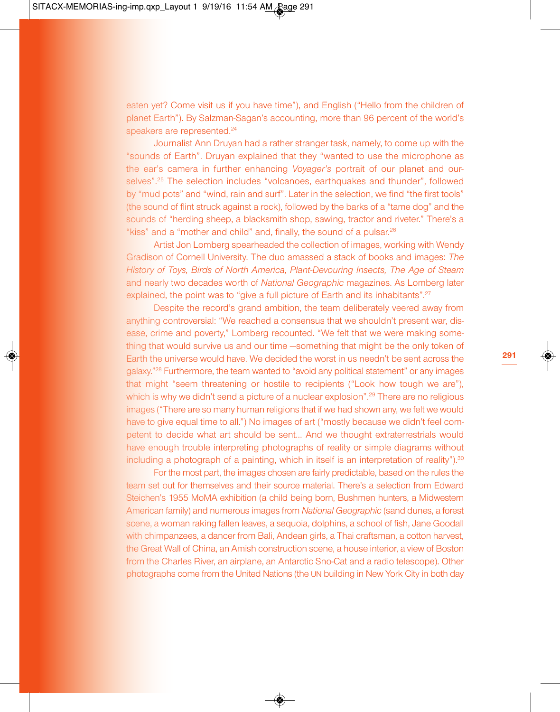eaten yet? Come visit us if you have time"), and English ("Hello from the children of planet Earth"). By Salzman-Sagan's accounting, more than 96 percent of the world's speakers are represented.<sup>24</sup>

Journalist Ann Druyan had a rather stranger task, namely, to come up with the "sounds of Earth". Druyan explained that they "wanted to use the microphone as the ear's camera in further enhancing *Voyager's* portrait of our planet and ourselves".<sup>25</sup> The selection includes "volcanoes, earthquakes and thunder", followed by "mud pots" and "wind, rain and surf". Later in the selection, we find "the first tools" (the sound of flint struck against a rock), followed by the barks of a "tame dog" and the sounds of "herding sheep, a blacksmith shop, sawing, tractor and riveter." There's a "kiss" and a "mother and child" and, finally, the sound of a pulsar.<sup>26</sup>

Artist Jon Lomberg spearheaded the collection of images, working with Wendy Gradison of Cornell University. The duo amassed a stack of books and images: *The History of Toys, Birds of North America, Plant-Devouring Insects, The Age of Steam* and nearly two decades worth of *National Geographic* magazines. As Lomberg later explained, the point was to "give a full picture of Earth and its inhabitants".<sup>27</sup>

Despite the record's grand ambition, the team deliberately veered away from anything controversial: "We reached a consensus that we shouldn't present war, disease, crime and poverty," Lomberg recounted. "We felt that we were making something that would survive us and our time —something that might be the only token of Earth the universe would have. We decided the worst in us needn't be sent across the galaxy."28 Furthermore, the team wanted to "avoid any political statement" or any images that might "seem threatening or hostile to recipients ("Look how tough we are"), which is why we didn't send a picture of a nuclear explosion".<sup>29</sup> There are no religious images ("There are so many human religions that if we had shown any, we felt we would have to give equal time to all.") No images of art ("mostly because we didn't feel competent to decide what art should be sent… And we thought extraterrestrials would have enough trouble interpreting photographs of reality or simple diagrams without including a photograph of a painting, which in itself is an interpretation of reality"). $30$ 

For the most part, the images chosen are fairly predictable, based on the rules the team set out for themselves and their source material. There's a selection from Edward Steichen's 1955 MoMA exhibition (a child being born, Bushmen hunters, a Midwestern American family) and numerous images from *National Geographic* (sand dunes, a forest scene, a woman raking fallen leaves, a sequoia, dolphins, a school of fish, Jane Goodall with chimpanzees, a dancer from Bali, Andean girls, a Thai craftsman, a cotton harvest, the Great Wall of China, an Amish construction scene, a house interior, a view of Boston from the Charles River, an airplane, an Antarctic Sno-Cat and a radio telescope). Other photographs come from the United Nations (the UN building in New York City in both day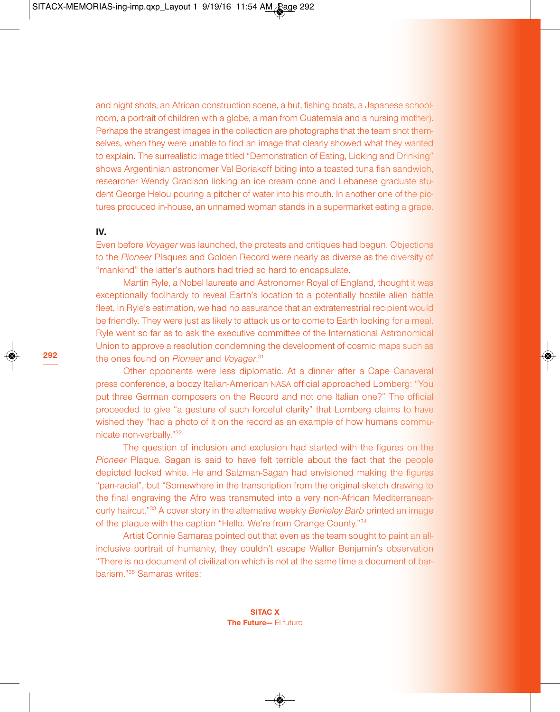and night shots, an African construction scene, a hut, fishing boats, a Japanese schoolroom, a portrait of children with a globe, a man from Guatemala and a nursing mother). Perhaps the strangest images in the collection are photographs that the team shot themselves, when they were unable to find an image that clearly showed what they wanted to explain. The surrealistic image titled "Demonstration of Eating, Licking and Drinking" shows Argentinian astronomer Val Boriakoff biting into a toasted tuna fish sandwich, researcher Wendy Gradison licking an ice cream cone and Lebanese graduate student George Helou pouring a pitcher of water into his mouth. In another one of the pictures produced in-house, an unnamed woman stands in a supermarket eating a grape.

# **IV.**

Even before *Voyager* was launched, the protests and critiques had begun. Objections to the *Pioneer* Plaques and Golden Record were nearly as diverse as the diversity of "mankind" the latter's authors had tried so hard to encapsulate.

Martin Ryle, a Nobel laureate and Astronomer Royal of England, thought it was exceptionally foolhardy to reveal Earth's location to a potentially hostile alien battle fleet. In Ryle's estimation, we had no assurance that an extraterrestrial recipient would be friendly. They were just as likely to attack us or to come to Earth looking for a meal. Ryle went so far as to ask the executive committee of the International Astronomical Union to approve a resolution condemning the development of cosmic maps such as the ones found on *Pioneer* and *Voyager*. 31

Other opponents were less diplomatic. At a dinner after a Cape Canaveral press conference, a boozy Italian-American NASA official approached Lomberg: "You put three German composers on the Record and not one Italian one?" The official proceeded to give "a gesture of such forceful clarity" that Lomberg claims to have wished they "had a photo of it on the record as an example of how humans communicate non-verbally."32

The question of inclusion and exclusion had started with the figures on the *Pioneer* Plaque. Sagan is said to have felt terrible about the fact that the people depicted looked white. He and Salzman-Sagan had envisioned making the figures "pan-racial", but "Somewhere in the transcription from the original sketch drawing to the final engraving the Afro was transmuted into a very non-African Mediterraneancurly haircut."33 A cover story in the alternative weekly *Berkeley Barb* printed an image of the plaque with the caption "Hello. We're from Orange County."34

Artist Connie Samaras pointed out that even as the team sought to paint an allinclusive portrait of humanity, they couldn't escape Walter Benjamin's observation "There is no document of civilization which is not at the same time a document of barbarism."35 Samaras writes: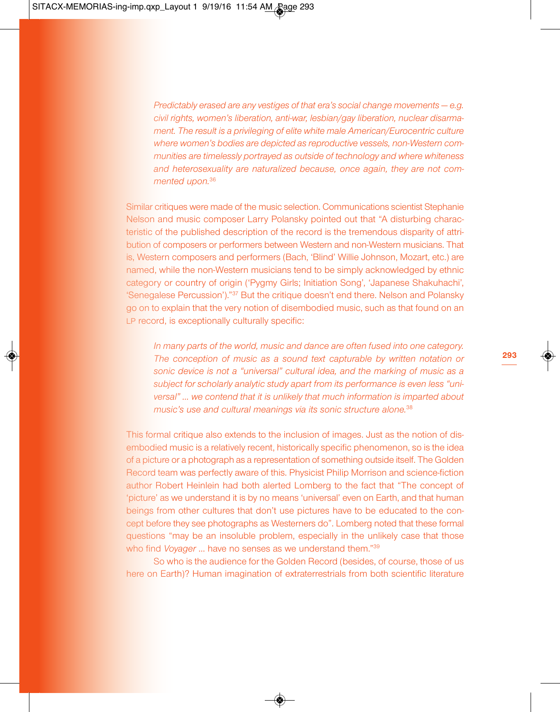*Predictably erased are any vestiges of that era's social change movements — e.g. civil rights, women's liberation, anti-war, lesbian/gay liberation, nuclear disarmament. The result is a privileging of elite white male American/Eurocentric culture where women's bodies are depicted as reproductive vessels, non-Western communities are timelessly portrayed as outside of technology and where whiteness and heterosexuality are naturalized because, once again, they are not commented upon.* 36

Similar critiques were made of the music selection. Communications scientist Stephanie Nelson and music composer Larry Polansky pointed out that "A disturbing characteristic of the published description of the record is the tremendous disparity of attribution of composers or performers between Western and non-Western musicians. That is, Western composers and performers (Bach, 'Blind' Willie Johnson, Mozart, etc.) are named, while the non-Western musicians tend to be simply acknowledged by ethnic category or country of origin ('Pygmy Girls; Initiation Song', 'Japanese Shakuhachi', 'Senegalese Percussion')."37 But the critique doesn't end there. Nelson and Polansky go on to explain that the very notion of disembodied music, such as that found on an LP record, is exceptionally culturally specific:

*In many parts of the world, music and dance are often fused into one category. The conception of music as a sound text capturable by written notation or sonic device is not a "universal" cultural idea, and the marking of music as a subject for scholarly analytic study apart from its performance is even less "universal" … we contend that it is unlikely that much information is imparted about music's use and cultural meanings via its sonic structure alone.* 38

This formal critique also extends to the inclusion of images. Just as the notion of disembodied music is a relatively recent, historically specific phenomenon, so is the idea of a picture or a photograph as a representation of something outside itself. The Golden Record team was perfectly aware of this. Physicist Philip Morrison and science-fiction author Robert Heinlein had both alerted Lomberg to the fact that "The concept of 'picture' as we understand it is by no means 'universal' even on Earth, and that human beings from other cultures that don't use pictures have to be educated to the concept before they see photographs as Westerners do". Lomberg noted that these formal questions "may be an insoluble problem, especially in the unlikely case that those who find *Voyager* … have no senses as we understand them."39

So who is the audience for the Golden Record (besides, of course, those of us here on Earth)? Human imagination of extraterrestrials from both scientific literature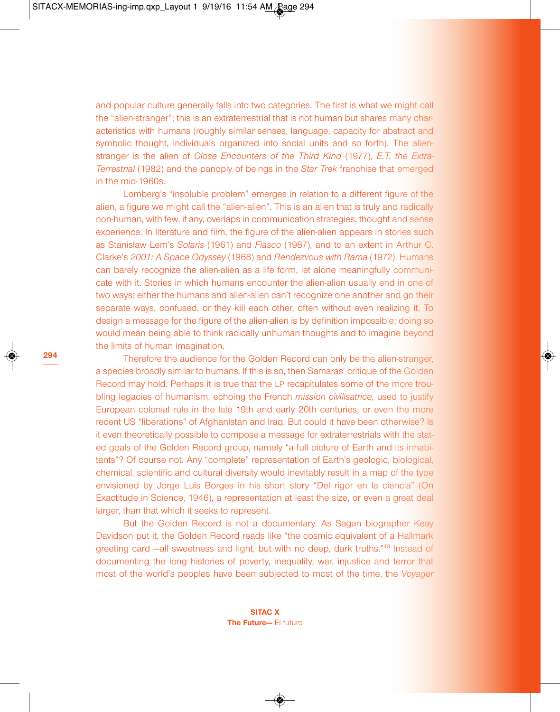**294**

and popular culture generally falls into two categories. The first is what we might call the "alien-stranger"; this is an extraterrestrial that is not human but shares many characteristics with humans (roughly similar senses, language, capacity for abstract and symbolic thought, individuals organized into social units and so forth). The alienstranger is the alien of *Close Encounters of the Third Kind* (1977), *E.T. the Extra-Terrestrial* (1982) and the panoply of beings in the *Star Trek* franchise that emerged in the mid-1960s.

Lomberg's "insoluble problem" emerges in relation to a different figure of the alien, a figure we might call the "alien-alien". This is an alien that is truly and radically non-human, with few, if any, overlaps in communication strategies, thought and sense experience. In literature and film, the figure of the alien-alien appears in stories such as Stanisław Lem's *Solaris* (1961) and *Fiasco* (1987), and to an extent in Arthur C. Clarke's *2001: A Space Odyssey* (1968) and *Rendezvous with Rama* (1972). Humans can barely recognize the alien-alien as a life form, let alone meaningfully communicate with it. Stories in which humans encounter the alien-alien usually end in one of two ways: either the humans and alien-alien can't recognize one another and go their separate ways, confused, or they kill each other, often without even realizing it. To design a message for the figure of the alien-alien is by definition impossible; doing so would mean being able to think radically unhuman thoughts and to imagine beyond the limits of human imagination.

Therefore the audience for the Golden Record can only be the alien-stranger, a species broadly similar to humans. If this is so, then Samaras' critique of the Golden Record may hold. Perhaps it is true that the LP recapitulates some of the more troubling legacies of humanism, echoing the French *mission civilisatrice,* used to justify European colonial rule in the late 19th and early 20th centuries, or even the more recent US "liberations" of Afghanistan and Iraq. But could it have been otherwise? Is it even theoretically possible to compose a message for extraterrestrials with the stated goals of the Golden Record group, namely "a full picture of Earth and its inhabitants"? Of course not. Any "complete" representation of Earth's geologic, biological, chemical, scientific and cultural diversity would inevitably result in a map of the type envisioned by Jorge Luis Borges in his short story "Del rigor en la ciencia" (On Exactitude in Science, 1946), a representation at least the size, or even a great deal larger, than that which it seeks to represent.

But the Golden Record is not a documentary. As Sagan biographer Keay Davidson put it, the Golden Record reads like "the cosmic equivalent of a Hallmark greeting card —all sweetness and light, but with no deep, dark truths."40 Instead of documenting the long histories of poverty, inequality, war, injustice and terror that most of the world's peoples have been subjected to most of the time, the *Voyager*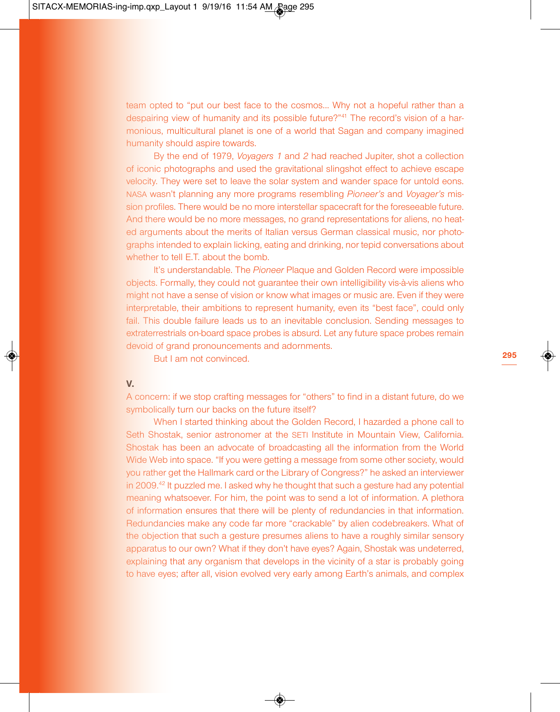team opted to "put our best face to the cosmos… Why not a hopeful rather than a despairing view of humanity and its possible future?"41 The record's vision of a harmonious, multicultural planet is one of a world that Sagan and company imagined humanity should aspire towards.

By the end of 1979, *Voyagers 1* and *2* had reached Jupiter, shot a collection of iconic photographs and used the gravitational slingshot effect to achieve escape velocity. They were set to leave the solar system and wander space for untold eons. NASA wasn't planning any more programs resembling *Pioneer's* and *Voyager's* mission profiles. There would be no more interstellar spacecraft for the foreseeable future. And there would be no more messages, no grand representations for aliens, no heated arguments about the merits of Italian versus German classical music, nor photographs intended to explain licking, eating and drinking, nor tepid conversations about whether to tell E.T. about the bomb.

It's understandable. The *Pioneer* Plaque and Golden Record were impossible objects. Formally, they could not guarantee their own intelligibility vis-à-vis aliens who might not have a sense of vision or know what images or music are. Even if they were interpretable, their ambitions to represent humanity, even its "best face", could only fail. This double failure leads us to an inevitable conclusion. Sending messages to extraterrestrials on-board space probes is absurd. Let any future space probes remain devoid of grand pronouncements and adornments.

But I am not convinced.

#### **V.**

A concern: if we stop crafting messages for "others" to find in a distant future, do we symbolically turn our backs on the future itself?

When I started thinking about the Golden Record, I hazarded a phone call to Seth Shostak, senior astronomer at the SETI Institute in Mountain View, California. Shostak has been an advocate of broadcasting all the information from the World Wide Web into space. "If you were getting a message from some other society, would you rather get the Hallmark card or the Library of Congress?" he asked an interviewer in 2009. <sup>42</sup> It puzzled me. I asked why he thought that such a gesture had any potential meaning whatsoever. For him, the point was to send a lot of information. A plethora of information ensures that there will be plenty of redundancies in that information. Redundancies make any code far more "crackable" by alien codebreakers. What of the objection that such a gesture presumes aliens to have a roughly similar sensory apparatus to our own? What if they don't have eyes? Again, Shostak was undeterred, explaining that any organism that develops in the vicinity of a star is probably going to have eyes; after all, vision evolved very early among Earth's animals, and complex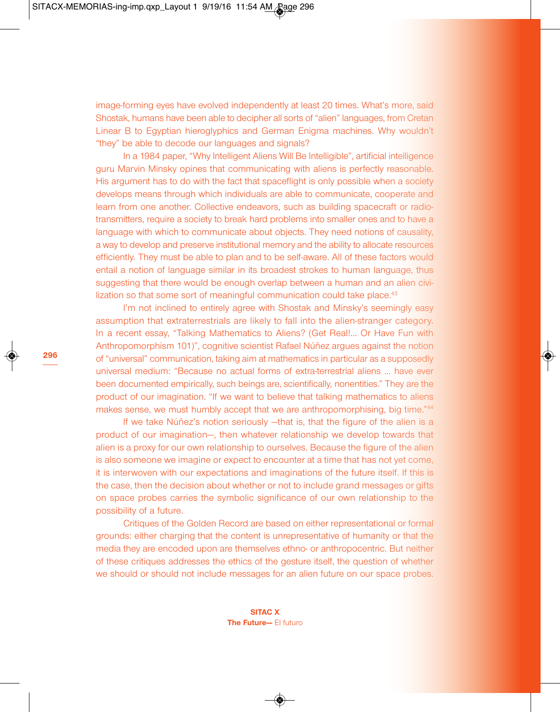image-forming eyes have evolved independently at least 20 times. What's more, said Shostak, humans have been able to decipher all sorts of "alien" languages, from Cretan Linear B to Egyptian hieroglyphics and German Enigma machines. Why wouldn't "they" be able to decode our languages and signals?

In a 1984 paper, "Why Intelligent Aliens Will Be Intelligible", artificial intelligence guru Marvin Minsky opines that communicating with aliens is perfectly reasonable. His argument has to do with the fact that spaceflight is only possible when a society develops means through which individuals are able to communicate, cooperate and learn from one another. Collective endeavors, such as building spacecraft or radiotransmitters, require a society to break hard problems into smaller ones and to have a language with which to communicate about objects. They need notions of causality, a way to develop and preserve institutional memory and the ability to allocate resources efficiently. They must be able to plan and to be self-aware. All of these factors would entail a notion of language similar in its broadest strokes to human language, thus suggesting that there would be enough overlap between a human and an alien civilization so that some sort of meaningful communication could take place.<sup>43</sup>

I'm not inclined to entirely agree with Shostak and Minsky's seemingly easy assumption that extraterrestrials are likely to fall into the alien-stranger category. In a recent essay, "Talking Mathematics to Aliens? (Get Real!... Or Have Fun with Anthropomorphism 101)", cognitive scientist Rafael Núñez argues against the notion of "universal" communication, taking aim at mathematics in particular as a supposedly universal medium: "Because no actual forms of extra-terrestrial aliens … have ever been documented empirically, such beings are, scientifically, nonentities." They are the product of our imagination. "If we want to believe that talking mathematics to aliens makes sense, we must humbly accept that we are anthropomorphising, big time."<sup>44</sup>

If we take Núñez's notion seriously —that is, that the figure of the alien is a product of our imagination—, then whatever relationship we develop towards that alien is a proxy for our own relationship to ourselves. Because the figure of the alien is also someone we imagine or expect to encounter at a time that has not yet come, it is interwoven with our expectations and imaginations of the future itself. If this is the case, then the decision about whether or not to include grand messages or gifts on space probes carries the symbolic significance of our own relationship to the possibility of a future.

Critiques of the Golden Record are based on either representational or formal grounds: either charging that the content is unrepresentative of humanity or that the media they are encoded upon are themselves ethno- or anthropocentric. But neither of these critiques addresses the ethics of the gesture itself, the question of whether we should or should not include messages for an alien future on our space probes.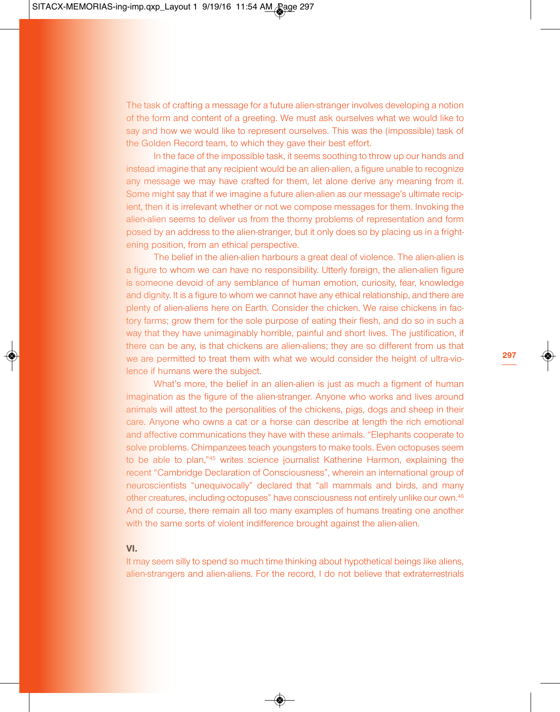The task of crafting a message for a future alien-stranger involves developing a notion of the form and content of a greeting. We must ask ourselves what we would like to say and how we would like to represent ourselves. This was the (impossible) task of the Golden Record team, to which they gave their best effort.

In the face of the impossible task, it seems soothing to throw up our hands and instead imagine that any recipient would be an alien-alien, a figure unable to recognize any message we may have crafted for them, let alone derive any meaning from it. Some might say that if we imagine a future alien-alien as our message's ultimate recipient, then it is irrelevant whether or not we compose messages for them. Invoking the alien-alien seems to deliver us from the thorny problems of representation and form posed by an address to the alien-stranger, but it only does so by placing us in a frightening position, from an ethical perspective.

The belief in the alien-alien harbours a great deal of violence. The alien-alien is a figure to whom we can have no responsibility. Utterly foreign, the alien-alien figure is someone devoid of any semblance of human emotion, curiosity, fear, knowledge and dignity. It is a figure to whom we cannot have any ethical relationship, and there are plenty of alien-aliens here on Earth. Consider the chicken. We raise chickens in factory farms; grow them for the sole purpose of eating their flesh, and do so in such a way that they have unimaginably horrible, painful and short lives. The justification, if there can be any, is that chickens are alien-aliens; they are so different from us that we are permitted to treat them with what we would consider the height of ultra-violence if humans were the subject.

What's more, the belief in an alien-alien is just as much a figment of human imagination as the figure of the alien-stranger. Anyone who works and lives around animals will attest to the personalities of the chickens, pigs, dogs and sheep in their care. Anyone who owns a cat or a horse can describe at length the rich emotional and affective communications they have with these animals. "Elephants cooperate to solve problems. Chimpanzees teach youngsters to make tools. Even octopuses seem to be able to plan,"<sup>45</sup> writes science journalist Katherine Harmon, explaining the recent "Cambridge Declaration of Consciousness", wherein an international group of neuroscientists "unequivocally" declared that "all mammals and birds, and many other creatures, including octopuses" have consciousness not entirely unlike our own.<sup>46</sup> And of course, there remain all too many examples of humans treating one another with the same sorts of violent indifference brought against the alien-alien.

#### **VI.**

It may seem silly to spend so much time thinking about hypothetical beings like aliens, alien-strangers and alien-aliens. For the record, I do not believe that extraterrestrials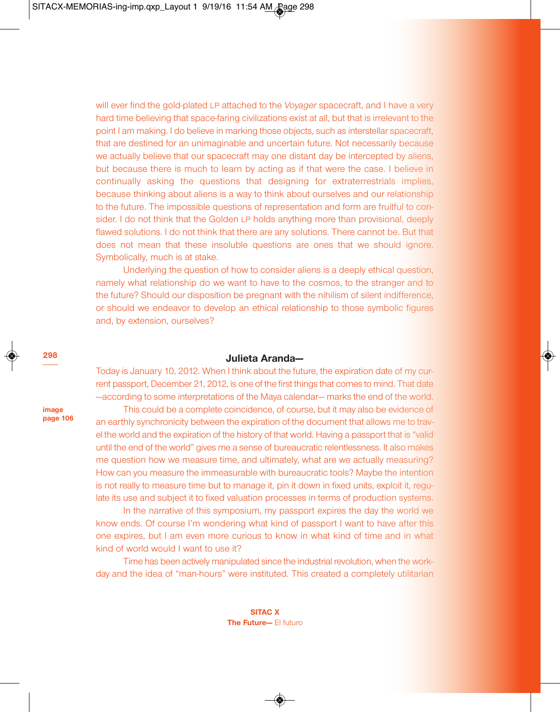will ever find the gold-plated LP attached to the *Voyager* spacecraft, and I have a very hard time believing that space-faring civilizations exist at all, but that is irrelevant to the point I am making. I do believe in marking those objects, such as interstellar spacecraft, that are destined for an unimaginable and uncertain future. Not necessarily because we actually believe that our spacecraft may one distant day be intercepted by aliens, but because there is much to learn by acting as if that were the case. I believe in continually asking the questions that designing for extraterrestrials implies, because thinking about aliens is a way to think about ourselves and our relationship to the future. The impossible questions of representation and form are fruitful to consider. I do not think that the Golden LP holds anything more than provisional, deeply flawed solutions. I do not think that there are any solutions. There cannot be. But that does not mean that these insoluble questions are ones that we should ignore. Symbolically, much is at stake.

Underlying the question of how to consider aliens is a deeply ethical question, namely what relationship do we want to have to the cosmos, to the stranger and to the future? Should our disposition be pregnant with the nihilism of silent indifference, or should we endeavor to develop an ethical relationship to those symbolic figures and, by extension, ourselves?

# **298**

#### **Julieta Aranda—**

Today is January 10, 2012. When I think about the future, the expiration date of my current passport, December 21, 2012, is one of the first things that comes to mind. That date —according to some interpretations of the Maya calendar— marks the end of the world.

This could be a complete coincidence, of course, but it may also be evidence of an earthly synchronicity between the expiration of the document that allows me to travel the world and the expiration of the history of that world. Having a passport that is "valid until the end of the world" gives me a sense of bureaucratic relentlessness. It also makes me question how we measure time, and ultimately, what are we actually measuring? How can you measure the immeasurable with bureaucratic tools? Maybe the intention is not really to measure time but to manage it, pin it down in fixed units, exploit it, regulate its use and subject it to fixed valuation processes in terms of production systems.

In the narrative of this symposium, my passport expires the day the world we know ends. Of course I'm wondering what kind of passport I want to have after this one expires, but I am even more curious to know in what kind of time and in what kind of world would I want to use it?

Time has been actively manipulated since the industrial revolution, when the workday and the idea of "man-hours" were instituted. This created a completely utilitarian

> **SITAC X The Future—** El futuro

**image page 106**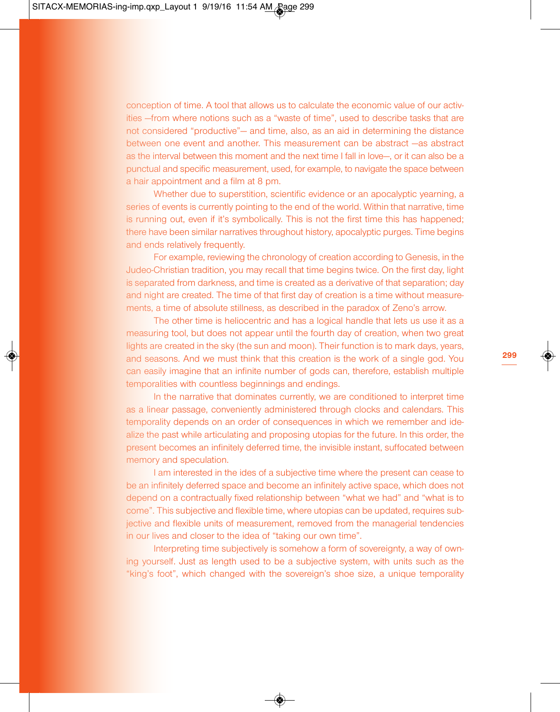conception of time. A tool that allows us to calculate the economic value of our activities —from where notions such as a "waste of time", used to describe tasks that are not considered "productive"— and time, also, as an aid in determining the distance between one event and another. This measurement can be abstract —as abstract as the interval between this moment and the next time I fall in love—, or it can also be a punctual and specific measurement, used, for example, to navigate the space between a hair appointment and a film at 8 pm.

Whether due to superstition, scientific evidence or an apocalyptic yearning, a series of events is currently pointing to the end of the world. Within that narrative, time is running out, even if it's symbolically. This is not the first time this has happened; there have been similar narratives throughout history, apocalyptic purges. Time begins and ends relatively frequently.

For example, reviewing the chronology of creation according to Genesis, in the Judeo-Christian tradition, you may recall that time begins twice. On the first day, light is separated from darkness, and time is created as a derivative of that separation; day and night are created. The time of that first day of creation is a time without measurements, a time of absolute stillness, as described in the paradox of Zeno's arrow.

The other time is heliocentric and has a logical handle that lets us use it as a measuring tool, but does not appear until the fourth day of creation, when two great lights are created in the sky (the sun and moon). Their function is to mark days, years, and seasons. And we must think that this creation is the work of a single god. You can easily imagine that an infinite number of gods can, therefore, establish multiple temporalities with countless beginnings and endings.

In the narrative that dominates currently, we are conditioned to interpret time as a linear passage, conveniently administered through clocks and calendars. This temporality depends on an order of consequences in which we remember and idealize the past while articulating and proposing utopias for the future. In this order, the present becomes an infinitely deferred time, the invisible instant, suffocated between memory and speculation.

I am interested in the ides of a subjective time where the present can cease to be an infinitely deferred space and become an infinitely active space, which does not depend on a contractually fixed relationship between "what we had" and "what is to come". This subjective and flexible time, where utopias can be updated, requires subjective and flexible units of measurement, removed from the managerial tendencies in our lives and closer to the idea of "taking our own time".

Interpreting time subjectively is somehow a form of sovereignty, a way of owning yourself. Just as length used to be a subjective system, with units such as the "king's foot", which changed with the sovereign's shoe size, a unique temporality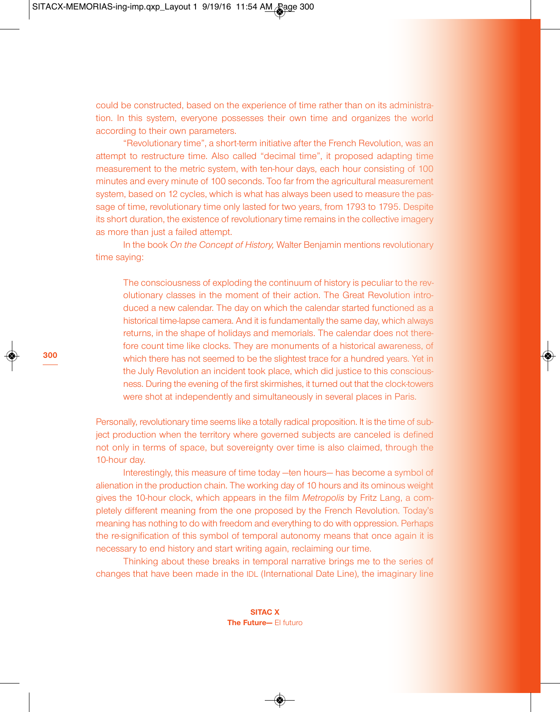could be constructed, based on the experience of time rather than on its administration. In this system, everyone possesses their own time and organizes the world according to their own parameters.

"Revolutionary time", a short-term initiative after the French Revolution, was an attempt to restructure time. Also called "decimal time", it proposed adapting time measurement to the metric system, with ten-hour days, each hour consisting of 100 minutes and every minute of 100 seconds. Too far from the agricultural measurement system, based on 12 cycles, which is what has always been used to measure the passage of time, revolutionary time only lasted for two years, from 1793 to 1795. Despite its short duration, the existence of revolutionary time remains in the collective imagery as more than just a failed attempt.

In the book *On the Concept of History,* Walter Benjamin mentions revolutionary time saying:

The consciousness of exploding the continuum of history is peculiar to the revolutionary classes in the moment of their action. The Great Revolution introduced a new calendar. The day on which the calendar started functioned as a historical time-lapse camera. And it is fundamentally the same day, which always returns, in the shape of holidays and memorials. The calendar does not therefore count time like clocks. They are monuments of a historical awareness, of which there has not seemed to be the slightest trace for a hundred years. Yet in the July Revolution an incident took place, which did justice to this consciousness. During the evening of the first skirmishes, it turned out that the clock-towers were shot at independently and simultaneously in several places in Paris.

Personally, revolutionary time seems like a totally radical proposition. It is the time of subject production when the territory where governed subjects are canceled is defined not only in terms of space, but sovereignty over time is also claimed, through the 10-hour day.

Interestingly, this measure of time today —ten hours— has become a symbol of alienation in the production chain. The working day of 10 hours and its ominous weight gives the 10-hour clock, which appears in the film *Metropolis* by Fritz Lang, a completely different meaning from the one proposed by the French Revolution. Today's meaning has nothing to do with freedom and everything to do with oppression. Perhaps the re-signification of this symbol of temporal autonomy means that once again it is necessary to end history and start writing again, reclaiming our time.

Thinking about these breaks in temporal narrative brings me to the series of changes that have been made in the IDL (International Date Line), the imaginary line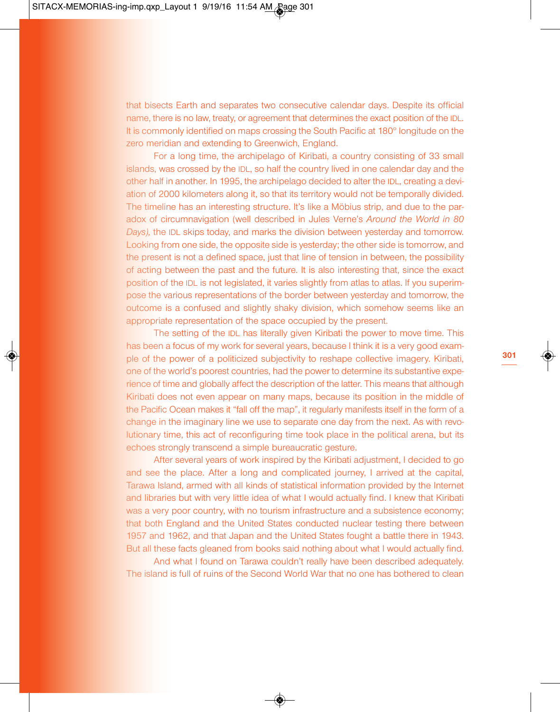that bisects Earth and separates two consecutive calendar days. Despite its official name, there is no law, treaty, or agreement that determines the exact position of the IDL. It is commonly identified on maps crossing the South Pacific at 180° longitude on the zero meridian and extending to Greenwich, England.

For a long time, the archipelago of Kiribati, a country consisting of 33 small islands, was crossed by the IDL, so half the country lived in one calendar day and the other half in another. In 1995, the archipelago decided to alter the IDL, creating a deviation of 2000 kilometers along it, so that its territory would not be temporally divided. The timeline has an interesting structure. It's like a Möbius strip, and due to the paradox of circumnavigation (well described in Jules Verne's *Around the World in 80 Days),* the IDL skips today, and marks the division between yesterday and tomorrow. Looking from one side, the opposite side is yesterday; the other side is tomorrow, and the present is not a defined space, just that line of tension in between, the possibility of acting between the past and the future. It is also interesting that, since the exact position of the IDL is not legislated, it varies slightly from atlas to atlas. If you superimpose the various representations of the border between yesterday and tomorrow, the outcome is a confused and slightly shaky division, which somehow seems like an appropriate representation of the space occupied by the present.

The setting of the IDL has literally given Kiribati the power to move time. This has been a focus of my work for several years, because I think it is a very good example of the power of a politicized subjectivity to reshape collective imagery. Kiribati, one of the world's poorest countries, had the power to determine its substantive experience of time and globally affect the description of the latter. This means that although Kiribati does not even appear on many maps, because its position in the middle of the Pacific Ocean makes it "fall off the map", it regularly manifests itself in the form of a change in the imaginary line we use to separate one day from the next. As with revolutionary time, this act of reconfiguring time took place in the political arena, but its echoes strongly transcend a simple bureaucratic gesture.

After several years of work inspired by the Kiribati adjustment, I decided to go and see the place. After a long and complicated journey, I arrived at the capital, Tarawa Island, armed with all kinds of statistical information provided by the Internet and libraries but with very little idea of what I would actually find. I knew that Kiribati was a very poor country, with no tourism infrastructure and a subsistence economy; that both England and the United States conducted nuclear testing there between 1957 and 1962, and that Japan and the United States fought a battle there in 1943. But all these facts gleaned from books said nothing about what I would actually find.

And what I found on Tarawa couldn't really have been described adequately. The island is full of ruins of the Second World War that no one has bothered to clean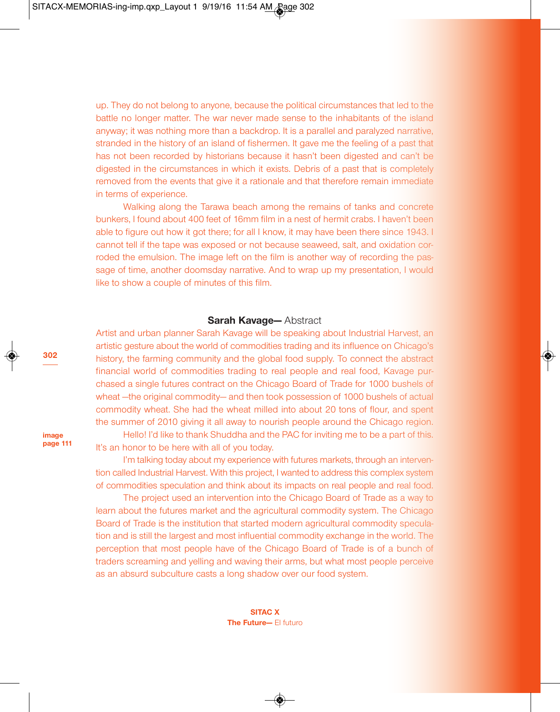up. They do not belong to anyone, because the political circumstances that led to the battle no longer matter. The war never made sense to the inhabitants of the island anyway; it was nothing more than a backdrop. It is a parallel and paralyzed narrative, stranded in the history of an island of fishermen. It gave me the feeling of a past that has not been recorded by historians because it hasn't been digested and can't be digested in the circumstances in which it exists. Debris of a past that is completely removed from the events that give it a rationale and that therefore remain immediate in terms of experience.

Walking along the Tarawa beach among the remains of tanks and concrete bunkers, I found about 400 feet of 16mm film in a nest of hermit crabs. I haven't been able to figure out how it got there; for all I know, it may have been there since 1943. I cannot tell if the tape was exposed or not because seaweed, salt, and oxidation corroded the emulsion. The image left on the film is another way of recording the passage of time, another doomsday narrative. And to wrap up my presentation, I would like to show a couple of minutes of this film.

## **Sarah Kavage—** Abstract

Artist and urban planner Sarah Kavage will be speaking about Industrial Harvest, an artistic gesture about the world of commodities trading and its influence on Chicago's history, the farming community and the global food supply. To connect the abstract financial world of commodities trading to real people and real food, Kavage purchased a single futures contract on the Chicago Board of Trade for 1000 bushels of wheat —the original commodity— and then took possession of 1000 bushels of actual commodity wheat. She had the wheat milled into about 20 tons of flour, and spent the summer of 2010 giving it all away to nourish people around the Chicago region.

Hello! I'd like to thank Shuddha and the PAC for inviting me to be a part of this. It's an honor to be here with all of you today.

I'm talking today about my experience with futures markets, through an intervention called Industrial Harvest. With this project, I wanted to address this complex system of commodities speculation and think about its impacts on real people and real food.

The project used an intervention into the Chicago Board of Trade as a way to learn about the futures market and the agricultural commodity system. The Chicago Board of Trade is the institution that started modern agricultural commodity speculation and is still the largest and most influential commodity exchange in the world. The perception that most people have of the Chicago Board of Trade is of a bunch of traders screaming and yelling and waving their arms, but what most people perceive as an absurd subculture casts a long shadow over our food system.

> **SITAC X The Future—** El futuro

**302**

**image page 111**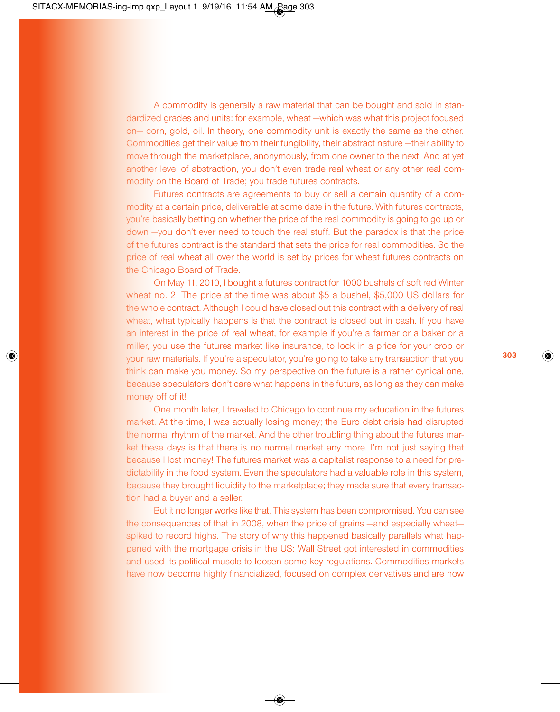A commodity is generally a raw material that can be bought and sold in standardized grades and units: for example, wheat —which was what this project focused on— corn, gold, oil. In theory, one commodity unit is exactly the same as the other. Commodities get their value from their fungibility, their abstract nature —their ability to move through the marketplace, anonymously, from one owner to the next. And at yet another level of abstraction, you don't even trade real wheat or any other real commodity on the Board of Trade; you trade futures contracts.

Futures contracts are agreements to buy or sell a certain quantity of a commodity at a certain price, deliverable at some date in the future. With futures contracts, you're basically betting on whether the price of the real commodity is going to go up or down —you don't ever need to touch the real stuff. But the paradox is that the price of the futures contract is the standard that sets the price for real commodities. So the price of real wheat all over the world is set by prices for wheat futures contracts on the Chicago Board of Trade.

On May 11, 2010, I bought a futures contract for 1000 bushels of soft red Winter wheat no. 2. The price at the time was about \$5 a bushel, \$5,000 US dollars for the whole contract. Although I could have closed out this contract with a delivery of real wheat, what typically happens is that the contract is closed out in cash. If you have an interest in the price of real wheat, for example if you're a farmer or a baker or a miller, you use the futures market like insurance, to lock in a price for your crop or your raw materials. If you're a speculator, you're going to take any transaction that you think can make you money. So my perspective on the future is a rather cynical one, because speculators don't care what happens in the future, as long as they can make money off of it!

One month later, I traveled to Chicago to continue my education in the futures market. At the time, I was actually losing money; the Euro debt crisis had disrupted the normal rhythm of the market. And the other troubling thing about the futures market these days is that there is no normal market any more. I'm not just saying that because I lost money! The futures market was a capitalist response to a need for predictability in the food system. Even the speculators had a valuable role in this system, because they brought liquidity to the marketplace; they made sure that every transaction had a buyer and a seller.

But it no longer works like that. This system has been compromised. You can see the consequences of that in 2008, when the price of grains —and especially wheat spiked to record highs. The story of why this happened basically parallels what happened with the mortgage crisis in the US: Wall Street got interested in commodities and used its political muscle to loosen some key regulations. Commodities markets have now become highly financialized, focused on complex derivatives and are now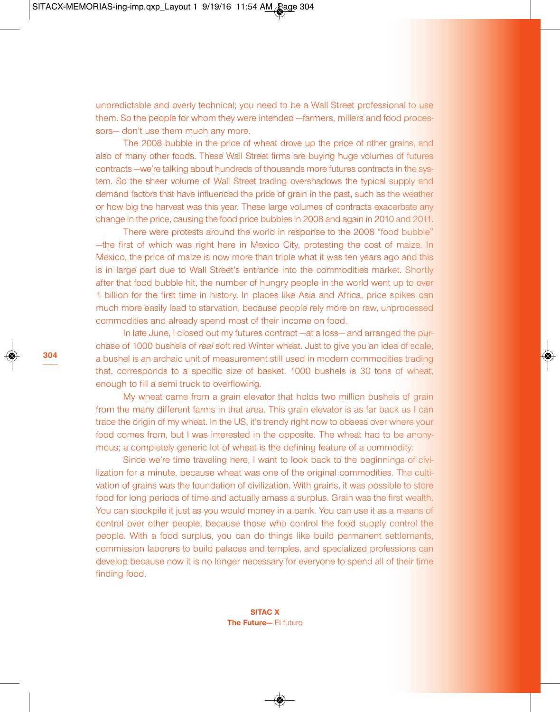unpredictable and overly technical; you need to be a Wall Street professional to use them. So the people for whom they were intended —farmers, millers and food processors— don't use them much any more.

The 2008 bubble in the price of wheat drove up the price of other grains, and also of many other foods. These Wall Street firms are buying huge volumes of futures contracts —we're talking about hundreds of thousands more futures contracts in the system. So the sheer volume of Wall Street trading overshadows the typical supply and demand factors that have influenced the price of grain in the past, such as the weather or how big the harvest was this year. These large volumes of contracts exacerbate any change in the price, causing the food price bubbles in 2008 and again in 2010 and 2011.

There were protests around the world in response to the 2008 "food bubble" —the first of which was right here in Mexico City, protesting the cost of maize. In Mexico, the price of maize is now more than triple what it was ten years ago and this is in large part due to Wall Street's entrance into the commodities market. Shortly after that food bubble hit, the number of hungry people in the world went up to over 1 billion for the first time in history. In places like Asia and Africa, price spikes can much more easily lead to starvation, because people rely more on raw, unprocessed commodities and already spend most of their income on food.

In late June, I closed out my futures contract —at a loss— and arranged the purchase of 1000 bushels of *real* soft red Winter wheat. Just to give you an idea of scale, a bushel is an archaic unit of measurement still used in modern commodities trading that, corresponds to a specific size of basket. 1000 bushels is 30 tons of wheat, enough to fill a semi truck to overflowing.

My wheat came from a grain elevator that holds two million bushels of grain from the many different farms in that area. This grain elevator is as far back as I can trace the origin of my wheat. In the US, it's trendy right now to obsess over where your food comes from, but I was interested in the opposite. The wheat had to be anonymous; a completely generic lot of wheat is the defining feature of a commodity.

Since we're time traveling here, I want to look back to the beginnings of civilization for a minute, because wheat was one of the original commodities. The cultivation of grains was the foundation of civilization. With grains, it was possible to store food for long periods of time and actually amass a surplus. Grain was the first wealth. You can stockpile it just as you would money in a bank. You can use it as a means of control over other people, because those who control the food supply control the people. With a food surplus, you can do things like build permanent settlements, commission laborers to build palaces and temples, and specialized professions can develop because now it is no longer necessary for everyone to spend all of their time finding food.